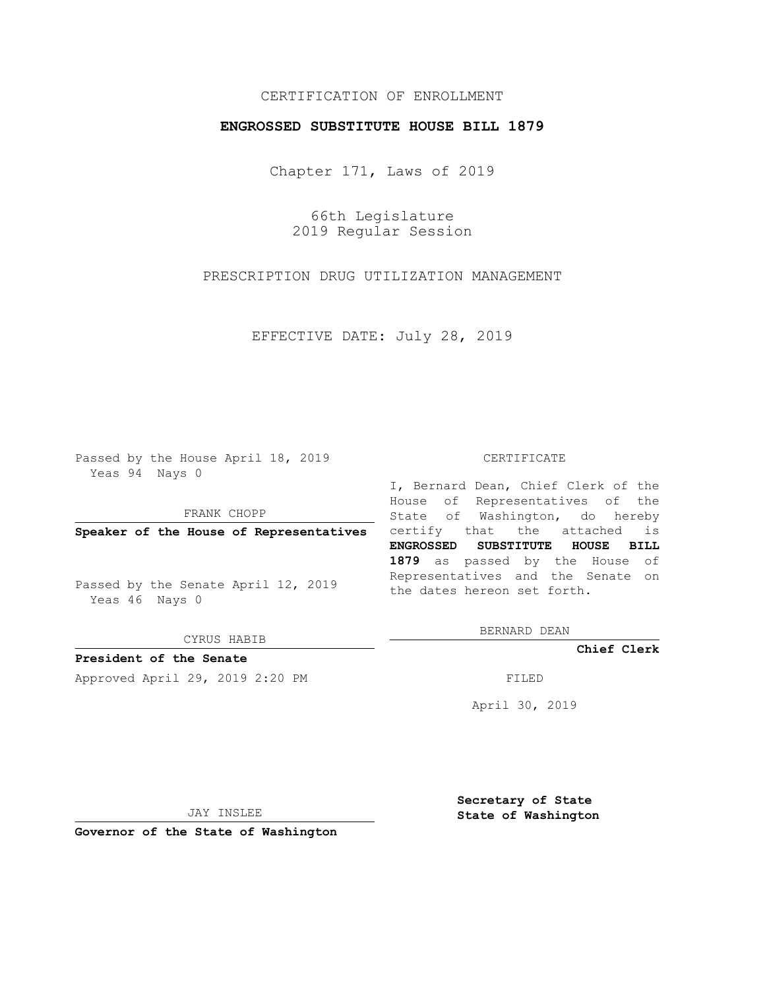## CERTIFICATION OF ENROLLMENT

## **ENGROSSED SUBSTITUTE HOUSE BILL 1879**

Chapter 171, Laws of 2019

66th Legislature 2019 Regular Session

PRESCRIPTION DRUG UTILIZATION MANAGEMENT

EFFECTIVE DATE: July 28, 2019

Passed by the House April 18, 2019 Yeas 94 Nays 0

FRANK CHOPP

Passed by the Senate April 12, 2019 Yeas 46 Nays 0

CYRUS HABIB

**President of the Senate**

Approved April 29, 2019 2:20 PM FILED

#### CERTIFICATE

**Speaker of the House of Representatives** certify that the attached is I, Bernard Dean, Chief Clerk of the House of Representatives of the State of Washington, do hereby **ENGROSSED SUBSTITUTE HOUSE BILL 1879** as passed by the House of Representatives and the Senate on the dates hereon set forth.

BERNARD DEAN

**Chief Clerk**

April 30, 2019

JAY INSLEE

**Governor of the State of Washington**

**Secretary of State State of Washington**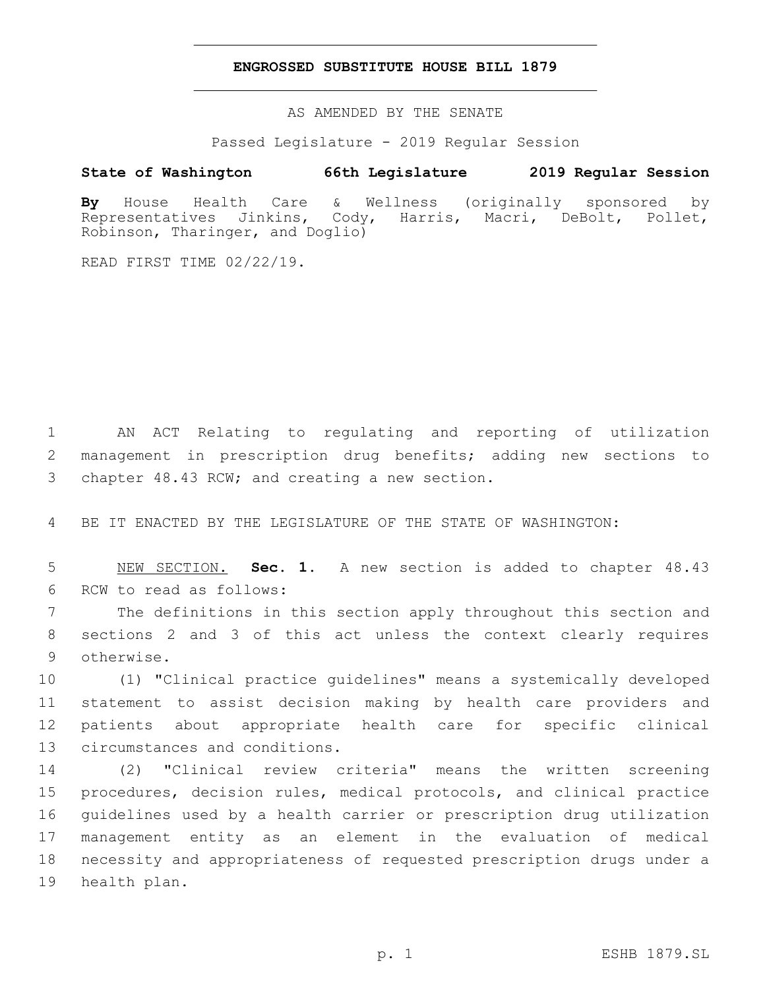### **ENGROSSED SUBSTITUTE HOUSE BILL 1879**

AS AMENDED BY THE SENATE

Passed Legislature - 2019 Regular Session

# **State of Washington 66th Legislature 2019 Regular Session**

**By** House Health Care & Wellness (originally sponsored by Representatives Jinkins, Cody, Harris, Macri, DeBolt, Pollet, Robinson, Tharinger, and Doglio)

READ FIRST TIME 02/22/19.

1 AN ACT Relating to regulating and reporting of utilization 2 management in prescription drug benefits; adding new sections to 3 chapter 48.43 RCW; and creating a new section.

4 BE IT ENACTED BY THE LEGISLATURE OF THE STATE OF WASHINGTON:

5 NEW SECTION. **Sec. 1.** A new section is added to chapter 48.43 6 RCW to read as follows:

7 The definitions in this section apply throughout this section and 8 sections 2 and 3 of this act unless the context clearly requires 9 otherwise.

 (1) "Clinical practice guidelines" means a systemically developed statement to assist decision making by health care providers and patients about appropriate health care for specific clinical 13 circumstances and conditions.

 (2) "Clinical review criteria" means the written screening procedures, decision rules, medical protocols, and clinical practice guidelines used by a health carrier or prescription drug utilization management entity as an element in the evaluation of medical necessity and appropriateness of requested prescription drugs under a 19 health plan.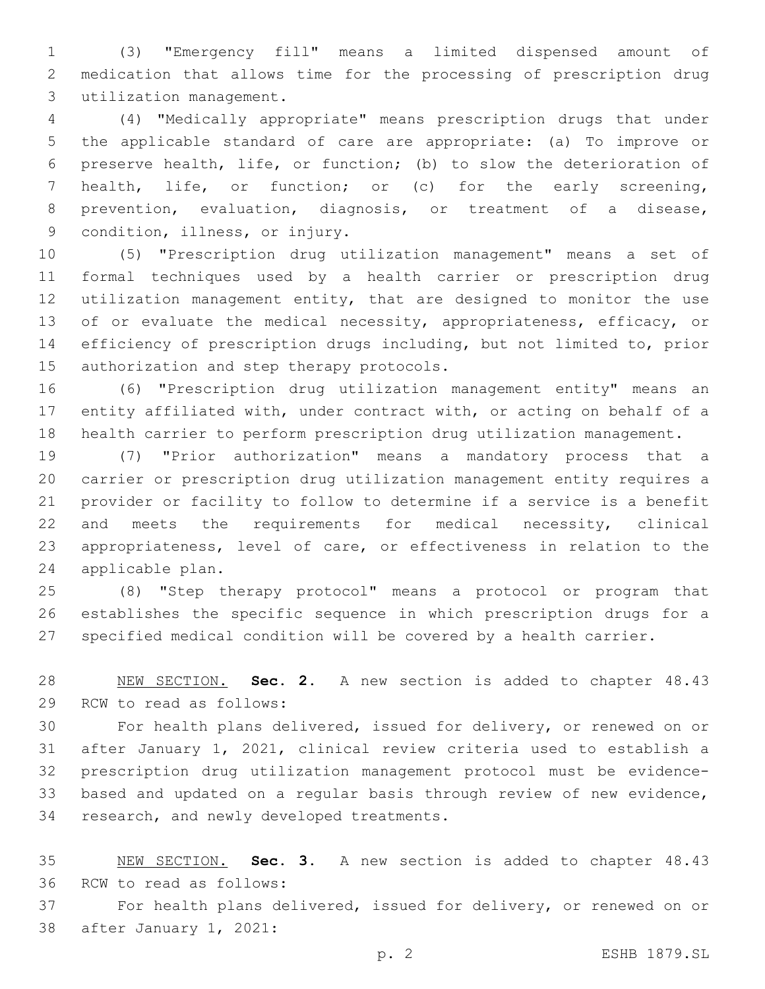(3) "Emergency fill" means a limited dispensed amount of medication that allows time for the processing of prescription drug 3 utilization management.

 (4) "Medically appropriate" means prescription drugs that under the applicable standard of care are appropriate: (a) To improve or preserve health, life, or function; (b) to slow the deterioration of health, life, or function; or (c) for the early screening, prevention, evaluation, diagnosis, or treatment of a disease, 9 condition, illness, or injury.

 (5) "Prescription drug utilization management" means a set of formal techniques used by a health carrier or prescription drug utilization management entity, that are designed to monitor the use 13 of or evaluate the medical necessity, appropriateness, efficacy, or efficiency of prescription drugs including, but not limited to, prior 15 authorization and step therapy protocols.

 (6) "Prescription drug utilization management entity" means an entity affiliated with, under contract with, or acting on behalf of a health carrier to perform prescription drug utilization management.

 (7) "Prior authorization" means a mandatory process that a carrier or prescription drug utilization management entity requires a provider or facility to follow to determine if a service is a benefit and meets the requirements for medical necessity, clinical appropriateness, level of care, or effectiveness in relation to the 24 applicable plan.

 (8) "Step therapy protocol" means a protocol or program that establishes the specific sequence in which prescription drugs for a specified medical condition will be covered by a health carrier.

 NEW SECTION. **Sec. 2.** A new section is added to chapter 48.43 29 RCW to read as follows:

 For health plans delivered, issued for delivery, or renewed on or after January 1, 2021, clinical review criteria used to establish a prescription drug utilization management protocol must be evidence- based and updated on a regular basis through review of new evidence, 34 research, and newly developed treatments.

 NEW SECTION. **Sec. 3.** A new section is added to chapter 48.43 36 RCW to read as follows:

 For health plans delivered, issued for delivery, or renewed on or 38 after January 1, 2021: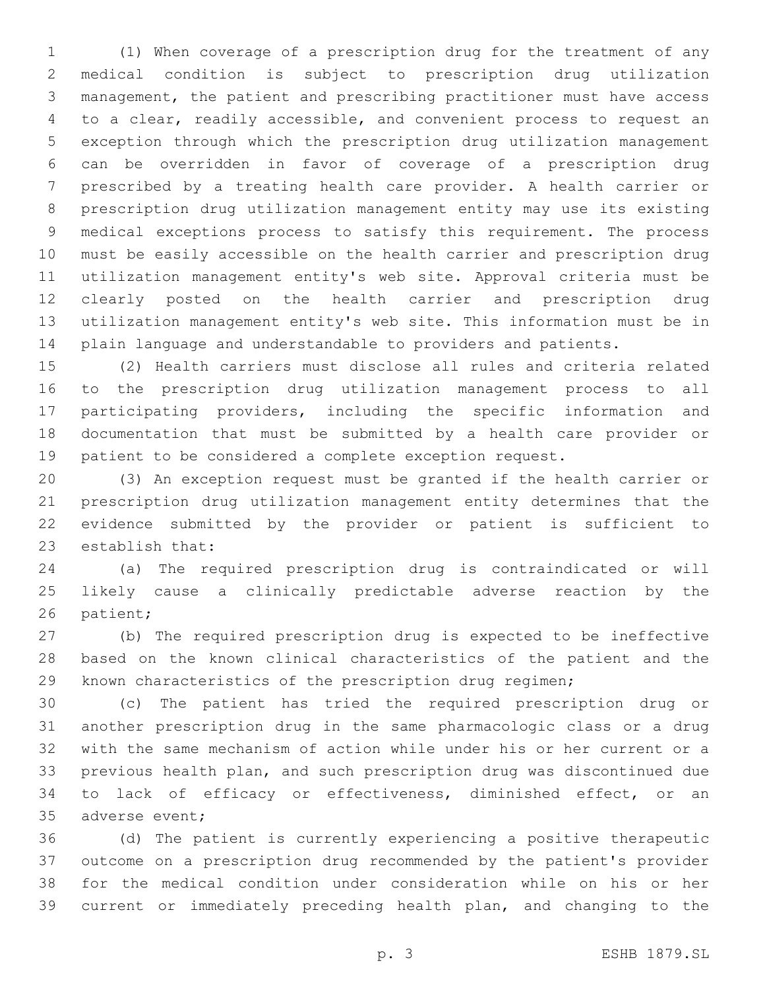(1) When coverage of a prescription drug for the treatment of any medical condition is subject to prescription drug utilization management, the patient and prescribing practitioner must have access to a clear, readily accessible, and convenient process to request an exception through which the prescription drug utilization management can be overridden in favor of coverage of a prescription drug prescribed by a treating health care provider. A health carrier or prescription drug utilization management entity may use its existing medical exceptions process to satisfy this requirement. The process must be easily accessible on the health carrier and prescription drug utilization management entity's web site. Approval criteria must be clearly posted on the health carrier and prescription drug utilization management entity's web site. This information must be in plain language and understandable to providers and patients.

 (2) Health carriers must disclose all rules and criteria related to the prescription drug utilization management process to all participating providers, including the specific information and documentation that must be submitted by a health care provider or patient to be considered a complete exception request.

 (3) An exception request must be granted if the health carrier or prescription drug utilization management entity determines that the evidence submitted by the provider or patient is sufficient to 23 establish that:

 (a) The required prescription drug is contraindicated or will likely cause a clinically predictable adverse reaction by the 26 patient;

 (b) The required prescription drug is expected to be ineffective based on the known clinical characteristics of the patient and the known characteristics of the prescription drug regimen;

 (c) The patient has tried the required prescription drug or another prescription drug in the same pharmacologic class or a drug with the same mechanism of action while under his or her current or a previous health plan, and such prescription drug was discontinued due to lack of efficacy or effectiveness, diminished effect, or an 35 adverse event;

 (d) The patient is currently experiencing a positive therapeutic outcome on a prescription drug recommended by the patient's provider for the medical condition under consideration while on his or her current or immediately preceding health plan, and changing to the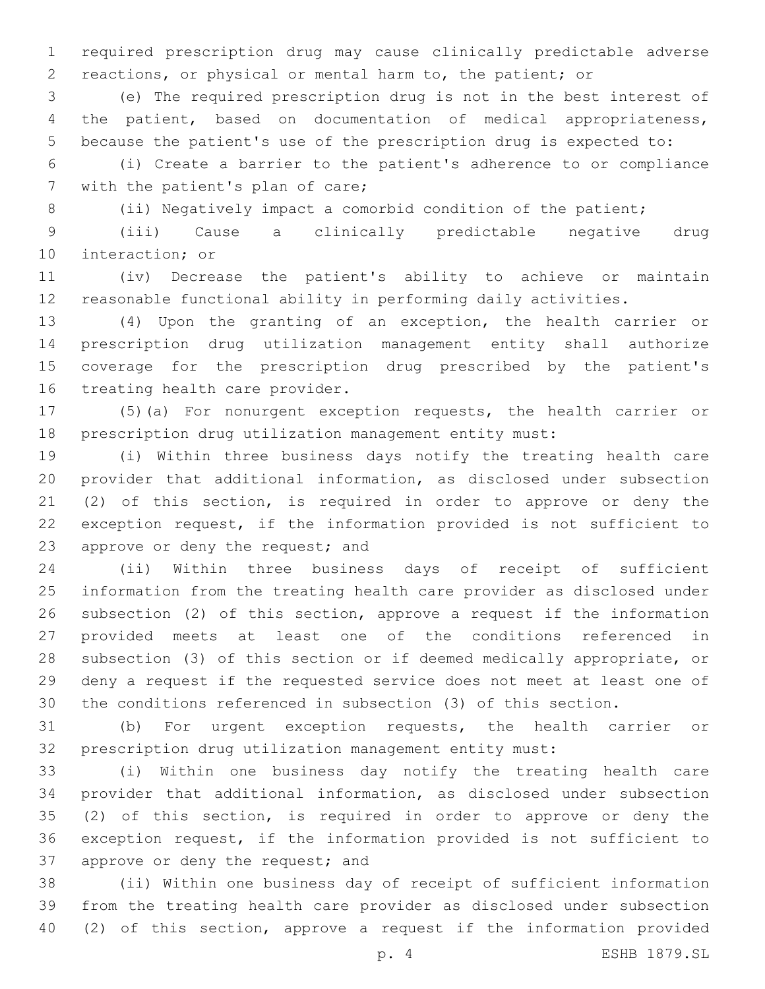required prescription drug may cause clinically predictable adverse reactions, or physical or mental harm to, the patient; or

 (e) The required prescription drug is not in the best interest of the patient, based on documentation of medical appropriateness, because the patient's use of the prescription drug is expected to:

 (i) Create a barrier to the patient's adherence to or compliance 7 with the patient's plan of care;

8 (ii) Negatively impact a comorbid condition of the patient;

 (iii) Cause a clinically predictable negative drug 10 interaction; or

 (iv) Decrease the patient's ability to achieve or maintain reasonable functional ability in performing daily activities.

 (4) Upon the granting of an exception, the health carrier or prescription drug utilization management entity shall authorize coverage for the prescription drug prescribed by the patient's 16 treating health care provider.

 (5)(a) For nonurgent exception requests, the health carrier or prescription drug utilization management entity must:

 (i) Within three business days notify the treating health care provider that additional information, as disclosed under subsection (2) of this section, is required in order to approve or deny the exception request, if the information provided is not sufficient to 23 approve or deny the request; and

 (ii) Within three business days of receipt of sufficient information from the treating health care provider as disclosed under subsection (2) of this section, approve a request if the information provided meets at least one of the conditions referenced in subsection (3) of this section or if deemed medically appropriate, or deny a request if the requested service does not meet at least one of the conditions referenced in subsection (3) of this section.

 (b) For urgent exception requests, the health carrier or prescription drug utilization management entity must:

 (i) Within one business day notify the treating health care provider that additional information, as disclosed under subsection (2) of this section, is required in order to approve or deny the exception request, if the information provided is not sufficient to 37 approve or deny the request; and

 (ii) Within one business day of receipt of sufficient information from the treating health care provider as disclosed under subsection (2) of this section, approve a request if the information provided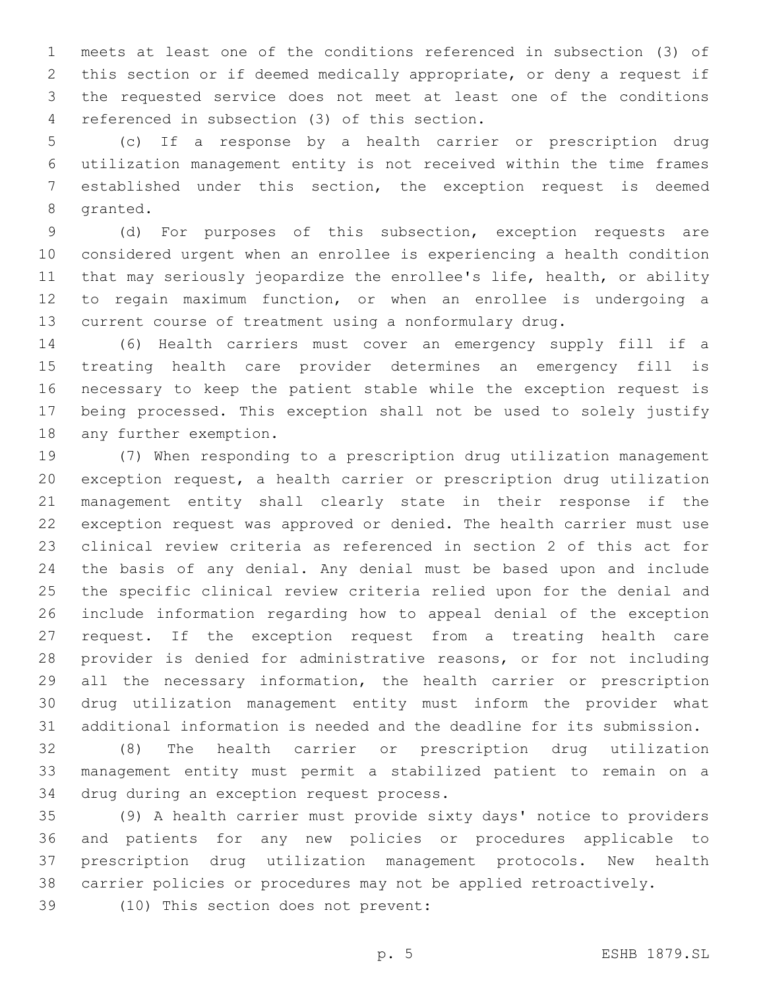meets at least one of the conditions referenced in subsection (3) of this section or if deemed medically appropriate, or deny a request if the requested service does not meet at least one of the conditions 4 referenced in subsection (3) of this section.

 (c) If a response by a health carrier or prescription drug utilization management entity is not received within the time frames established under this section, the exception request is deemed 8 granted.

 (d) For purposes of this subsection, exception requests are considered urgent when an enrollee is experiencing a health condition that may seriously jeopardize the enrollee's life, health, or ability to regain maximum function, or when an enrollee is undergoing a current course of treatment using a nonformulary drug.

 (6) Health carriers must cover an emergency supply fill if a treating health care provider determines an emergency fill is necessary to keep the patient stable while the exception request is being processed. This exception shall not be used to solely justify 18 any further exemption.

 (7) When responding to a prescription drug utilization management exception request, a health carrier or prescription drug utilization management entity shall clearly state in their response if the exception request was approved or denied. The health carrier must use clinical review criteria as referenced in section 2 of this act for the basis of any denial. Any denial must be based upon and include the specific clinical review criteria relied upon for the denial and include information regarding how to appeal denial of the exception request. If the exception request from a treating health care provider is denied for administrative reasons, or for not including all the necessary information, the health carrier or prescription drug utilization management entity must inform the provider what additional information is needed and the deadline for its submission.

 (8) The health carrier or prescription drug utilization management entity must permit a stabilized patient to remain on a 34 drug during an exception request process.

 (9) A health carrier must provide sixty days' notice to providers and patients for any new policies or procedures applicable to prescription drug utilization management protocols. New health carrier policies or procedures may not be applied retroactively.

39 (10) This section does not prevent: